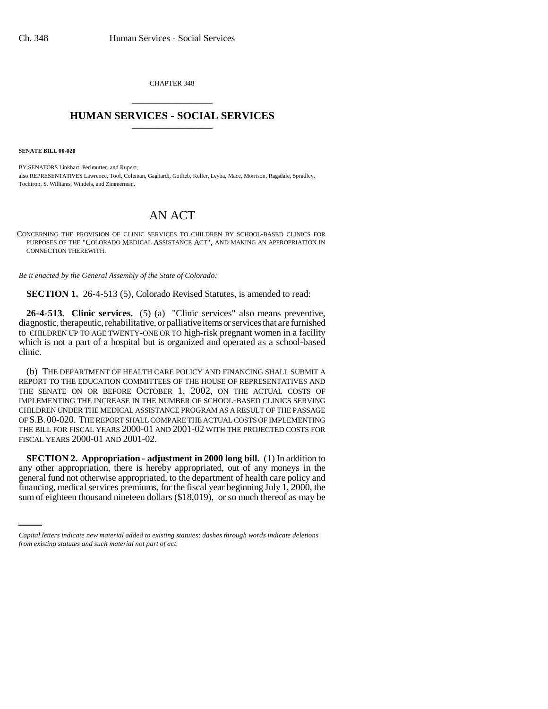CHAPTER 348 \_\_\_\_\_\_\_\_\_\_\_\_\_\_\_

## **HUMAN SERVICES - SOCIAL SERVICES** \_\_\_\_\_\_\_\_\_\_\_\_\_\_\_

**SENATE BILL 00-020** 

BY SENATORS Linkhart, Perlmutter, and Rupert; also REPRESENTATIVES Lawrence, Tool, Coleman, Gagliardi, Gotlieb, Keller, Leyba, Mace, Morrison, Ragsdale, Spradley, Tochtrop, S. Williams, Windels, and Zimmerman.

## AN ACT

CONCERNING THE PROVISION OF CLINIC SERVICES TO CHILDREN BY SCHOOL-BASED CLINICS FOR PURPOSES OF THE "COLORADO MEDICAL ASSISTANCE ACT", AND MAKING AN APPROPRIATION IN CONNECTION THEREWITH.

*Be it enacted by the General Assembly of the State of Colorado:*

**SECTION 1.** 26-4-513 (5), Colorado Revised Statutes, is amended to read:

**26-4-513. Clinic services.** (5) (a) "Clinic services" also means preventive, diagnostic, therapeutic, rehabilitative, or palliative items or services that are furnished to CHILDREN UP TO AGE TWENTY-ONE OR TO high-risk pregnant women in a facility which is not a part of a hospital but is organized and operated as a school-based clinic.

(b) THE DEPARTMENT OF HEALTH CARE POLICY AND FINANCING SHALL SUBMIT A REPORT TO THE EDUCATION COMMITTEES OF THE HOUSE OF REPRESENTATIVES AND THE SENATE ON OR BEFORE OCTOBER 1, 2002, ON THE ACTUAL COSTS OF IMPLEMENTING THE INCREASE IN THE NUMBER OF SCHOOL-BASED CLINICS SERVING CHILDREN UNDER THE MEDICAL ASSISTANCE PROGRAM AS A RESULT OF THE PASSAGE OF S.B. 00-020. THE REPORT SHALL COMPARE THE ACTUAL COSTS OF IMPLEMENTING THE BILL FOR FISCAL YEARS 2000-01 AND 2001-02 WITH THE PROJECTED COSTS FOR FISCAL YEARS 2000-01 AND 2001-02.

general fund not otherwise appropriated, to the department of health care policy and **SECTION 2. Appropriation - adjustment in 2000 long bill.** (1) In addition to any other appropriation, there is hereby appropriated, out of any moneys in the financing, medical services premiums, for the fiscal year beginning July 1, 2000, the sum of eighteen thousand nineteen dollars (\$18,019), or so much thereof as may be

*Capital letters indicate new material added to existing statutes; dashes through words indicate deletions from existing statutes and such material not part of act.*